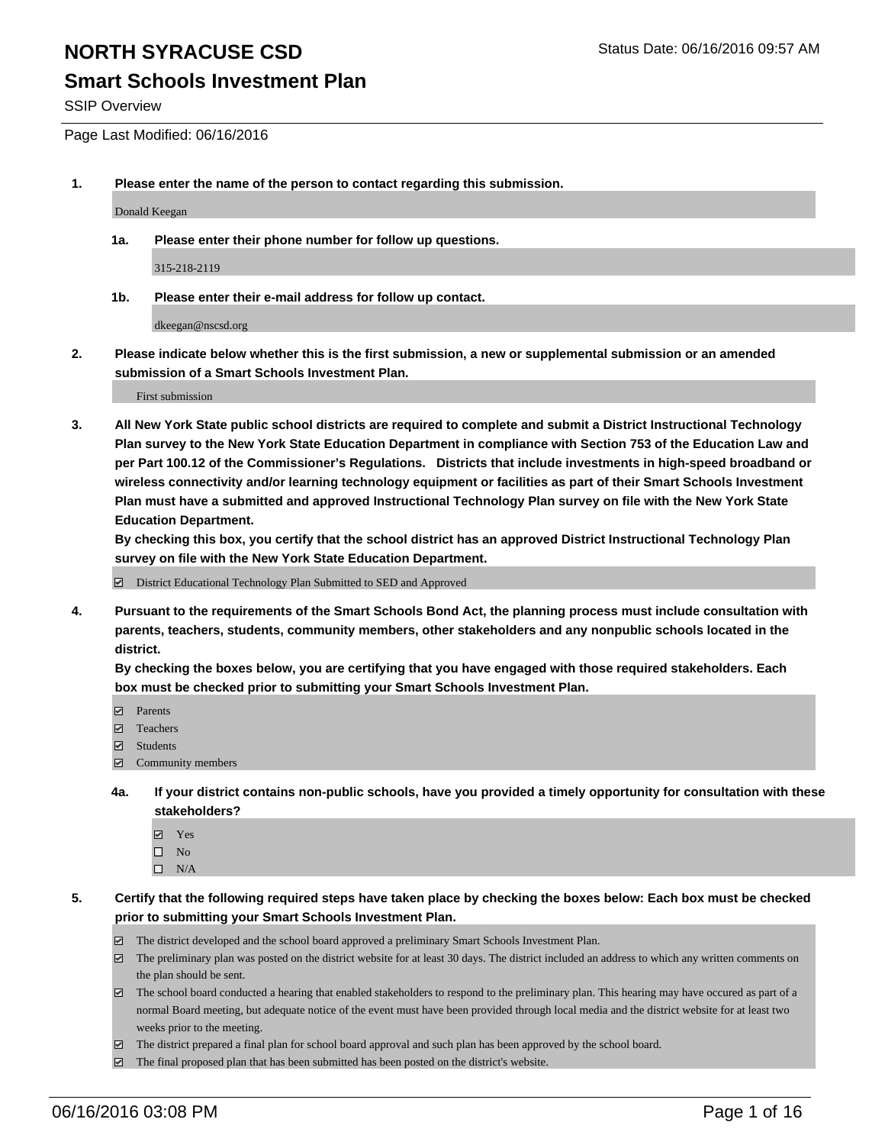### **Smart Schools Investment Plan**

SSIP Overview

Page Last Modified: 06/16/2016

**1. Please enter the name of the person to contact regarding this submission.**

Donald Keegan

**1a. Please enter their phone number for follow up questions.**

315-218-2119

**1b. Please enter their e-mail address for follow up contact.**

dkeegan@nscsd.org

**2. Please indicate below whether this is the first submission, a new or supplemental submission or an amended submission of a Smart Schools Investment Plan.**

First submission

**3. All New York State public school districts are required to complete and submit a District Instructional Technology Plan survey to the New York State Education Department in compliance with Section 753 of the Education Law and per Part 100.12 of the Commissioner's Regulations. Districts that include investments in high-speed broadband or wireless connectivity and/or learning technology equipment or facilities as part of their Smart Schools Investment Plan must have a submitted and approved Instructional Technology Plan survey on file with the New York State Education Department.** 

**By checking this box, you certify that the school district has an approved District Instructional Technology Plan survey on file with the New York State Education Department.**

District Educational Technology Plan Submitted to SED and Approved

**4. Pursuant to the requirements of the Smart Schools Bond Act, the planning process must include consultation with parents, teachers, students, community members, other stakeholders and any nonpublic schools located in the district.** 

**By checking the boxes below, you are certifying that you have engaged with those required stakeholders. Each box must be checked prior to submitting your Smart Schools Investment Plan.**

- **Parents**
- Teachers
- $\blacksquare$  Students
- Community members
- **4a. If your district contains non-public schools, have you provided a timely opportunity for consultation with these stakeholders?**
	- Yes  $\square$  No
	- $\square$  N/A
- **5. Certify that the following required steps have taken place by checking the boxes below: Each box must be checked prior to submitting your Smart Schools Investment Plan.**
	- The district developed and the school board approved a preliminary Smart Schools Investment Plan.
	- $\Box$  The preliminary plan was posted on the district website for at least 30 days. The district included an address to which any written comments on the plan should be sent.
	- $\Box$  The school board conducted a hearing that enabled stakeholders to respond to the preliminary plan. This hearing may have occured as part of a normal Board meeting, but adequate notice of the event must have been provided through local media and the district website for at least two weeks prior to the meeting.
	- The district prepared a final plan for school board approval and such plan has been approved by the school board.
	- $\boxdot$  The final proposed plan that has been submitted has been posted on the district's website.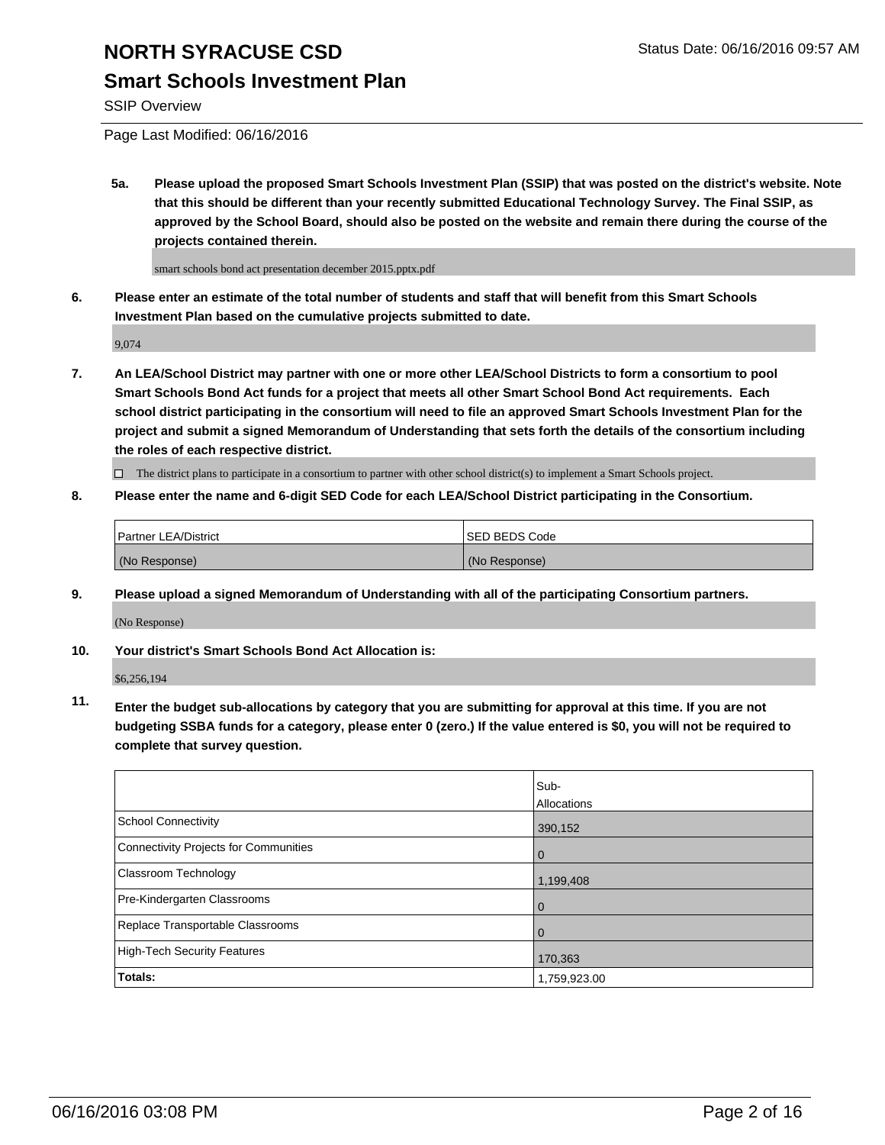## **Smart Schools Investment Plan**

SSIP Overview

Page Last Modified: 06/16/2016

**5a. Please upload the proposed Smart Schools Investment Plan (SSIP) that was posted on the district's website. Note that this should be different than your recently submitted Educational Technology Survey. The Final SSIP, as approved by the School Board, should also be posted on the website and remain there during the course of the projects contained therein.**

smart schools bond act presentation december 2015.pptx.pdf

**6. Please enter an estimate of the total number of students and staff that will benefit from this Smart Schools Investment Plan based on the cumulative projects submitted to date.**

9,074

**7. An LEA/School District may partner with one or more other LEA/School Districts to form a consortium to pool Smart Schools Bond Act funds for a project that meets all other Smart School Bond Act requirements. Each school district participating in the consortium will need to file an approved Smart Schools Investment Plan for the project and submit a signed Memorandum of Understanding that sets forth the details of the consortium including the roles of each respective district.**

 $\Box$  The district plans to participate in a consortium to partner with other school district(s) to implement a Smart Schools project.

**8. Please enter the name and 6-digit SED Code for each LEA/School District participating in the Consortium.**

| <b>Partner LEA/District</b> | ISED BEDS Code |
|-----------------------------|----------------|
| (No Response)               | (No Response)  |

**9. Please upload a signed Memorandum of Understanding with all of the participating Consortium partners.**

(No Response)

**10. Your district's Smart Schools Bond Act Allocation is:**

\$6,256,194

**11. Enter the budget sub-allocations by category that you are submitting for approval at this time. If you are not budgeting SSBA funds for a category, please enter 0 (zero.) If the value entered is \$0, you will not be required to complete that survey question.**

|                                       | Sub-         |
|---------------------------------------|--------------|
|                                       | Allocations  |
| <b>School Connectivity</b>            | 390,152      |
| Connectivity Projects for Communities | $\Omega$     |
| <b>Classroom Technology</b>           | 1,199,408    |
| Pre-Kindergarten Classrooms           | $\Omega$     |
| Replace Transportable Classrooms      | 0            |
| High-Tech Security Features           | 170,363      |
| <b>Totals:</b>                        | 1,759,923.00 |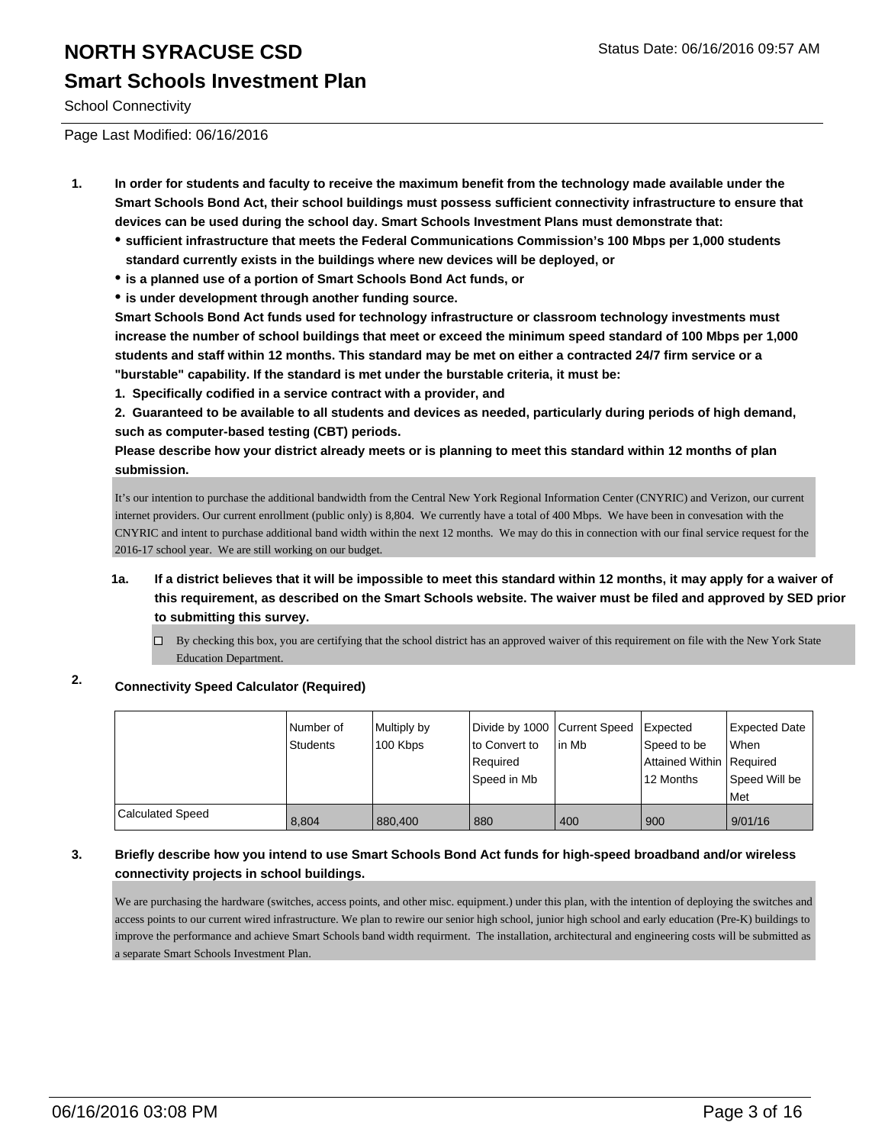## **NORTH SYRACUSE CSD** Status Date: 06/16/2016 09:57 AM **Smart Schools Investment Plan**

School Connectivity

Page Last Modified: 06/16/2016

- **1. In order for students and faculty to receive the maximum benefit from the technology made available under the Smart Schools Bond Act, their school buildings must possess sufficient connectivity infrastructure to ensure that devices can be used during the school day. Smart Schools Investment Plans must demonstrate that:**
	- **sufficient infrastructure that meets the Federal Communications Commission's 100 Mbps per 1,000 students standard currently exists in the buildings where new devices will be deployed, or**
	- **is a planned use of a portion of Smart Schools Bond Act funds, or**
	- **is under development through another funding source.**

**Smart Schools Bond Act funds used for technology infrastructure or classroom technology investments must increase the number of school buildings that meet or exceed the minimum speed standard of 100 Mbps per 1,000 students and staff within 12 months. This standard may be met on either a contracted 24/7 firm service or a "burstable" capability. If the standard is met under the burstable criteria, it must be:**

**1. Specifically codified in a service contract with a provider, and**

**2. Guaranteed to be available to all students and devices as needed, particularly during periods of high demand, such as computer-based testing (CBT) periods.**

**Please describe how your district already meets or is planning to meet this standard within 12 months of plan submission.**

It's our intention to purchase the additional bandwidth from the Central New York Regional Information Center (CNYRIC) and Verizon, our current internet providers. Our current enrollment (public only) is 8,804. We currently have a total of 400 Mbps. We have been in convesation with the CNYRIC and intent to purchase additional band width within the next 12 months. We may do this in connection with our final service request for the 2016-17 school year. We are still working on our budget.

- **1a. If a district believes that it will be impossible to meet this standard within 12 months, it may apply for a waiver of this requirement, as described on the Smart Schools website. The waiver must be filed and approved by SED prior to submitting this survey.**
	- $\Box$  By checking this box, you are certifying that the school district has an approved waiver of this requirement on file with the New York State Education Department.

### **2. Connectivity Speed Calculator (Required)**

|                         | Number of<br>Students | Multiply by<br>100 Kbps | Divide by 1000 Current Speed<br>lto Convert to<br>l Reauired<br>lSpeed in Mb | in Mb | Expected<br>Speed to be<br>Attained Within   Required<br>12 Months | Expected Date<br><b>When</b><br>Speed Will be<br><b>Met</b> |
|-------------------------|-----------------------|-------------------------|------------------------------------------------------------------------------|-------|--------------------------------------------------------------------|-------------------------------------------------------------|
| <b>Calculated Speed</b> | 8,804                 | 880,400                 | 880                                                                          | 400   | 900                                                                | 9/01/16                                                     |

#### **3. Briefly describe how you intend to use Smart Schools Bond Act funds for high-speed broadband and/or wireless connectivity projects in school buildings.**

We are purchasing the hardware (switches, access points, and other misc. equipment.) under this plan, with the intention of deploying the switches and access points to our current wired infrastructure. We plan to rewire our senior high school, junior high school and early education (Pre-K) buildings to improve the performance and achieve Smart Schools band width requirment. The installation, architectural and engineering costs will be submitted as a separate Smart Schools Investment Plan.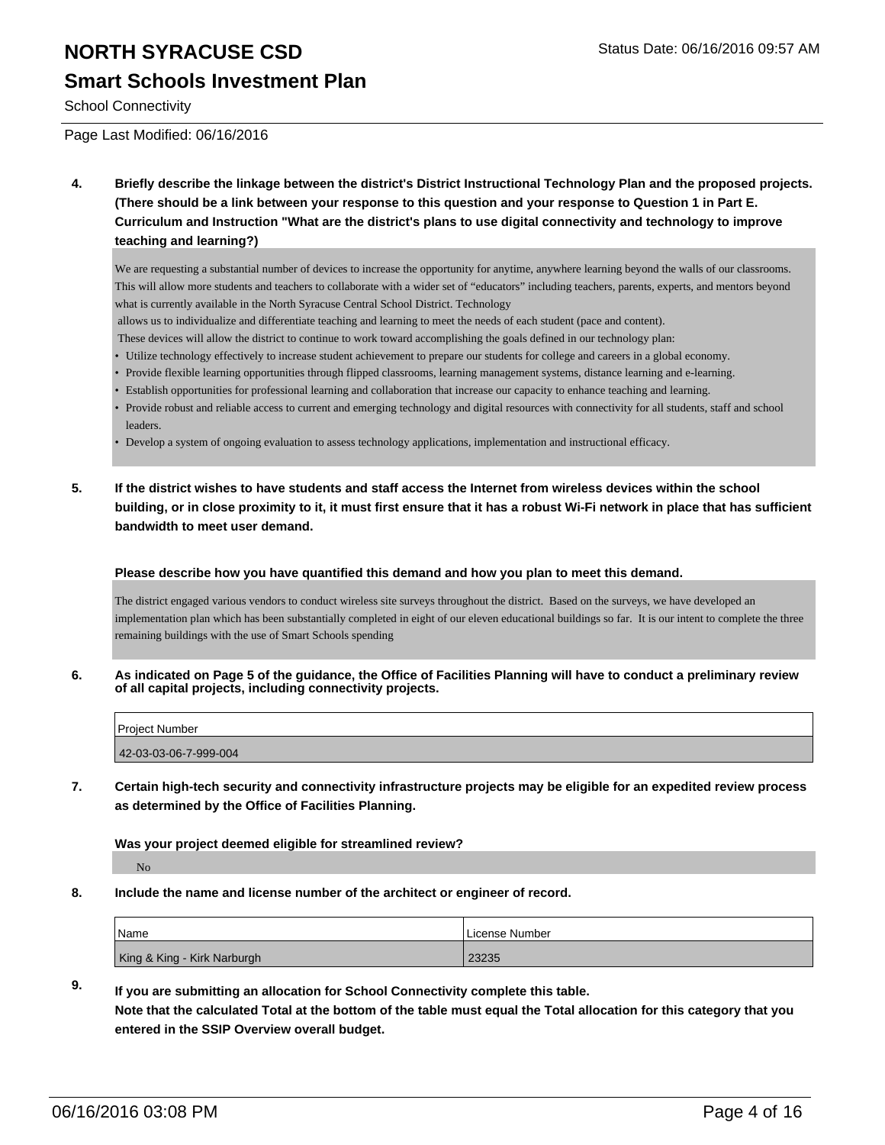### **Smart Schools Investment Plan**

School Connectivity

Page Last Modified: 06/16/2016

**4. Briefly describe the linkage between the district's District Instructional Technology Plan and the proposed projects. (There should be a link between your response to this question and your response to Question 1 in Part E. Curriculum and Instruction "What are the district's plans to use digital connectivity and technology to improve teaching and learning?)**

We are requesting a substantial number of devices to increase the opportunity for anytime, anywhere learning beyond the walls of our classrooms. This will allow more students and teachers to collaborate with a wider set of "educators" including teachers, parents, experts, and mentors beyond what is currently available in the North Syracuse Central School District. Technology

- allows us to individualize and differentiate teaching and learning to meet the needs of each student (pace and content).
- These devices will allow the district to continue to work toward accomplishing the goals defined in our technology plan:
- Utilize technology effectively to increase student achievement to prepare our students for college and careers in a global economy.
- Provide flexible learning opportunities through flipped classrooms, learning management systems, distance learning and e-learning.
- Establish opportunities for professional learning and collaboration that increase our capacity to enhance teaching and learning.
- Provide robust and reliable access to current and emerging technology and digital resources with connectivity for all students, staff and school leaders.
- Develop a system of ongoing evaluation to assess technology applications, implementation and instructional efficacy.
- **5. If the district wishes to have students and staff access the Internet from wireless devices within the school building, or in close proximity to it, it must first ensure that it has a robust Wi-Fi network in place that has sufficient bandwidth to meet user demand.**

#### **Please describe how you have quantified this demand and how you plan to meet this demand.**

The district engaged various vendors to conduct wireless site surveys throughout the district. Based on the surveys, we have developed an implementation plan which has been substantially completed in eight of our eleven educational buildings so far. It is our intent to complete the three remaining buildings with the use of Smart Schools spending

**6. As indicated on Page 5 of the guidance, the Office of Facilities Planning will have to conduct a preliminary review of all capital projects, including connectivity projects.**

| <b>Project Number</b> |  |
|-----------------------|--|
| 42-03-03-06-7-999-004 |  |
|                       |  |

**7. Certain high-tech security and connectivity infrastructure projects may be eligible for an expedited review process as determined by the Office of Facilities Planning.**

**Was your project deemed eligible for streamlined review?**

No

**8. Include the name and license number of the architect or engineer of record.**

| <b>Name</b>                 | License Number |
|-----------------------------|----------------|
| King & King - Kirk Narburgh | 23235          |

**9. If you are submitting an allocation for School Connectivity complete this table.**

**Note that the calculated Total at the bottom of the table must equal the Total allocation for this category that you entered in the SSIP Overview overall budget.**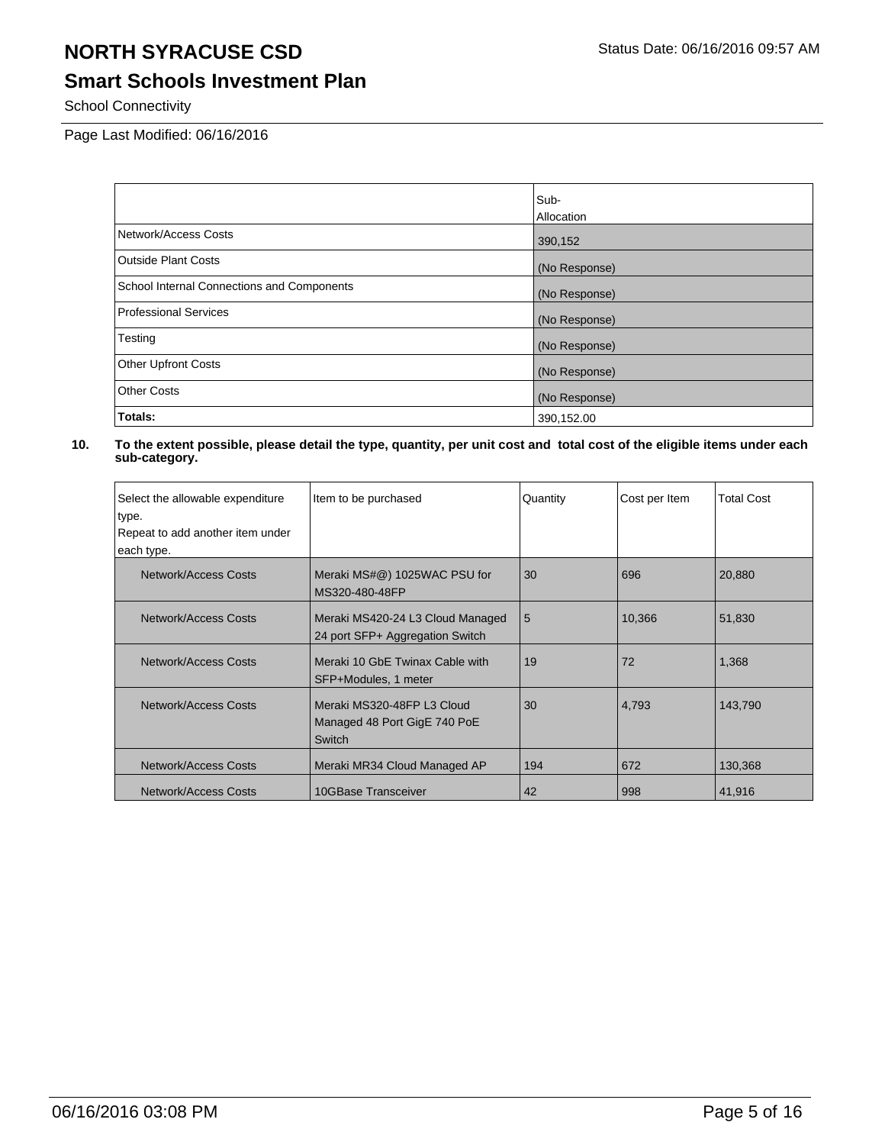## **Smart Schools Investment Plan**

School Connectivity

Page Last Modified: 06/16/2016

|                                            | Sub-              |
|--------------------------------------------|-------------------|
|                                            | <b>Allocation</b> |
| Network/Access Costs                       | 390,152           |
| <b>Outside Plant Costs</b>                 | (No Response)     |
| School Internal Connections and Components | (No Response)     |
| <b>Professional Services</b>               | (No Response)     |
| Testing                                    | (No Response)     |
| <b>Other Upfront Costs</b>                 | (No Response)     |
| <b>Other Costs</b>                         | (No Response)     |
| Totals:                                    | 390,152.00        |

| Select the allowable expenditure<br>type.      | Item to be purchased                                                 | Quantity | Cost per Item | <b>Total Cost</b> |
|------------------------------------------------|----------------------------------------------------------------------|----------|---------------|-------------------|
| Repeat to add another item under<br>each type. |                                                                      |          |               |                   |
| Network/Access Costs                           | Meraki MS#@) 1025WAC PSU for<br>MS320-480-48FP                       | 30       | 696           | 20,880            |
| Network/Access Costs                           | Meraki MS420-24 L3 Cloud Managed<br>24 port SFP+ Aggregation Switch  | 5        | 10,366        | 51,830            |
| Network/Access Costs                           | l Meraki 10 GbE Twinax Cable with<br>SFP+Modules, 1 meter            | 19       | 72            | 1,368             |
| Network/Access Costs                           | Meraki MS320-48FP L3 Cloud<br>Managed 48 Port GigE 740 PoE<br>Switch | 30       | 4,793         | 143.790           |
| <b>Network/Access Costs</b>                    | Meraki MR34 Cloud Managed AP                                         | 194      | 672           | 130,368           |
| Network/Access Costs                           | 10GBase Transceiver                                                  | 42       | 998           | 41,916            |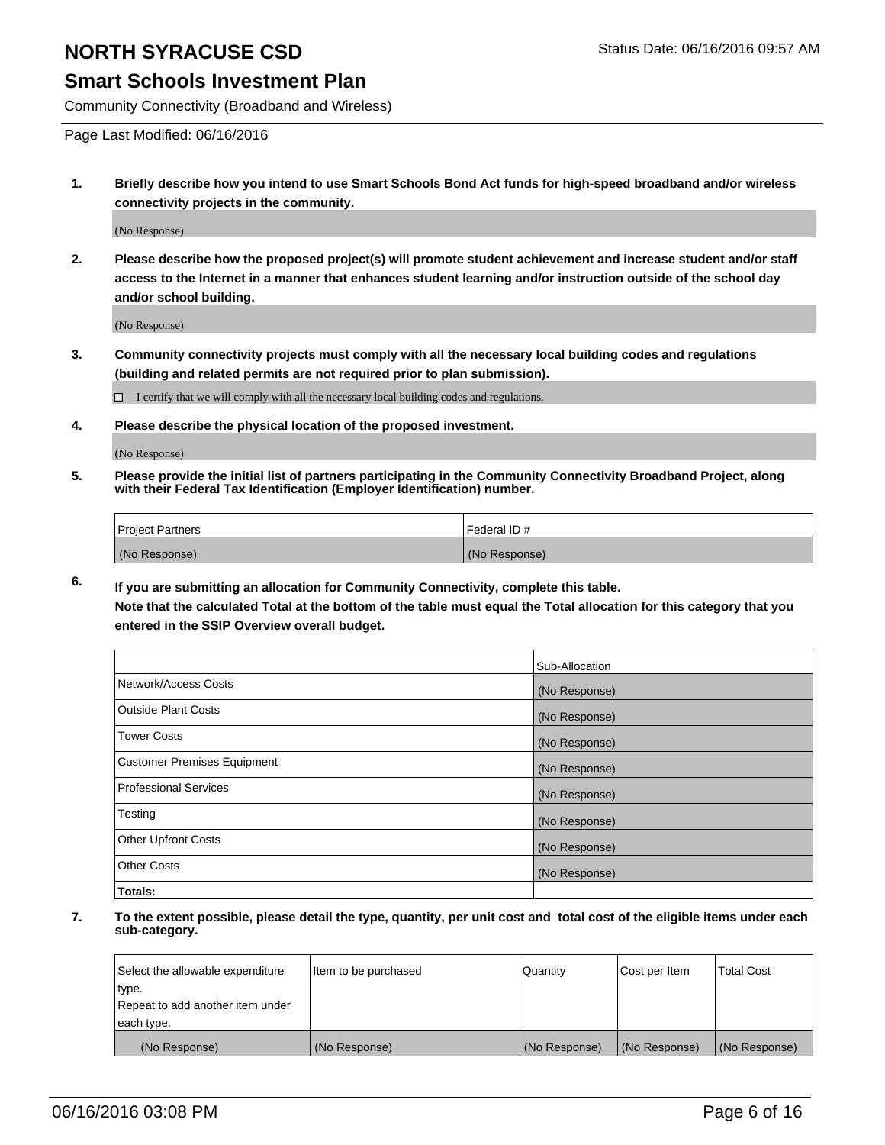### **Smart Schools Investment Plan**

Community Connectivity (Broadband and Wireless)

Page Last Modified: 06/16/2016

**1. Briefly describe how you intend to use Smart Schools Bond Act funds for high-speed broadband and/or wireless connectivity projects in the community.**

(No Response)

**2. Please describe how the proposed project(s) will promote student achievement and increase student and/or staff access to the Internet in a manner that enhances student learning and/or instruction outside of the school day and/or school building.**

(No Response)

**3. Community connectivity projects must comply with all the necessary local building codes and regulations (building and related permits are not required prior to plan submission).**

 $\Box$  I certify that we will comply with all the necessary local building codes and regulations.

**4. Please describe the physical location of the proposed investment.**

(No Response)

**5. Please provide the initial list of partners participating in the Community Connectivity Broadband Project, along with their Federal Tax Identification (Employer Identification) number.**

| Project Partners | l Federal ID # |
|------------------|----------------|
| (No Response)    | (No Response)  |

**6. If you are submitting an allocation for Community Connectivity, complete this table.**

**Note that the calculated Total at the bottom of the table must equal the Total allocation for this category that you entered in the SSIP Overview overall budget.**

|                             | Sub-Allocation |
|-----------------------------|----------------|
| Network/Access Costs        | (No Response)  |
| Outside Plant Costs         | (No Response)  |
| <b>Tower Costs</b>          | (No Response)  |
| Customer Premises Equipment | (No Response)  |
| Professional Services       | (No Response)  |
| Testing                     | (No Response)  |
| Other Upfront Costs         | (No Response)  |
| Other Costs                 | (No Response)  |
| Totals:                     |                |

| Select the allowable expenditure | Item to be purchased | Quantity      | Cost per Item | <b>Total Cost</b> |
|----------------------------------|----------------------|---------------|---------------|-------------------|
| type.                            |                      |               |               |                   |
| Repeat to add another item under |                      |               |               |                   |
| each type.                       |                      |               |               |                   |
| (No Response)                    | (No Response)        | (No Response) | (No Response) | (No Response)     |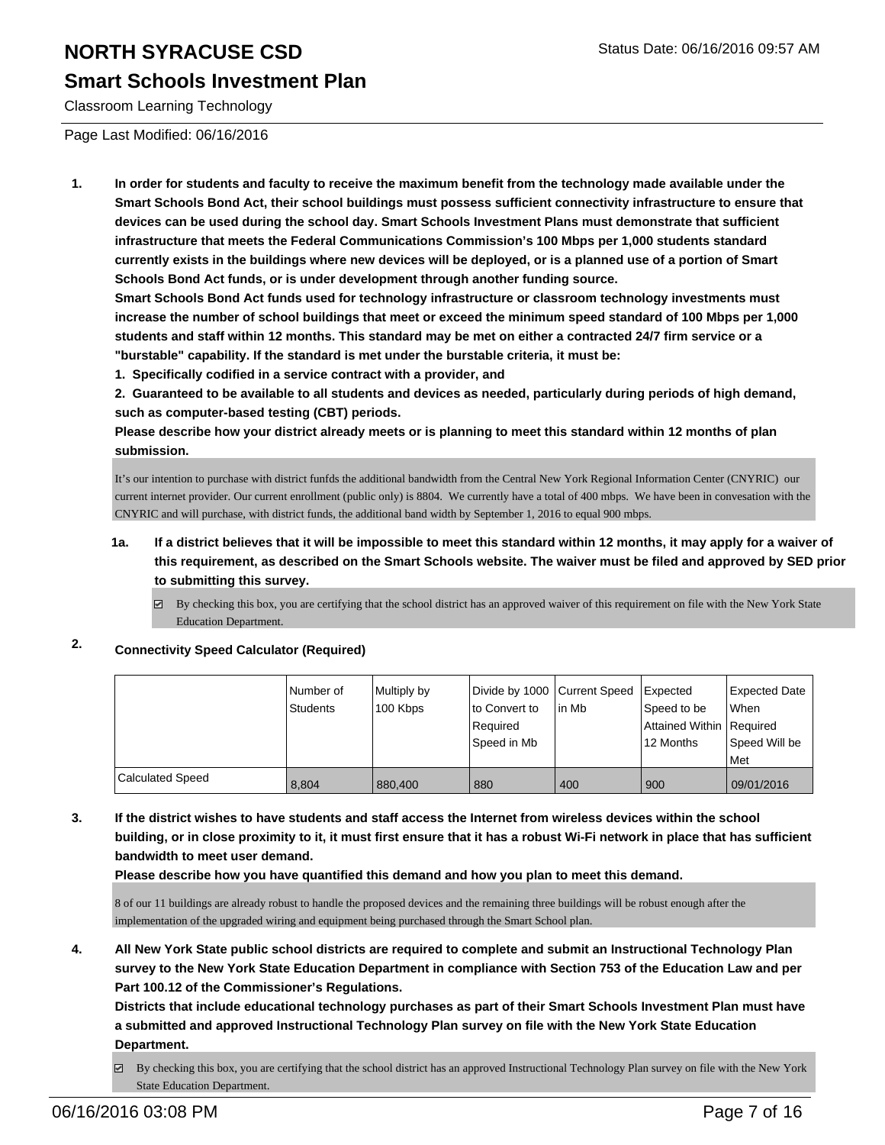### **Smart Schools Investment Plan**

Classroom Learning Technology

Page Last Modified: 06/16/2016

**1. In order for students and faculty to receive the maximum benefit from the technology made available under the Smart Schools Bond Act, their school buildings must possess sufficient connectivity infrastructure to ensure that devices can be used during the school day. Smart Schools Investment Plans must demonstrate that sufficient infrastructure that meets the Federal Communications Commission's 100 Mbps per 1,000 students standard currently exists in the buildings where new devices will be deployed, or is a planned use of a portion of Smart Schools Bond Act funds, or is under development through another funding source.**

**Smart Schools Bond Act funds used for technology infrastructure or classroom technology investments must increase the number of school buildings that meet or exceed the minimum speed standard of 100 Mbps per 1,000 students and staff within 12 months. This standard may be met on either a contracted 24/7 firm service or a "burstable" capability. If the standard is met under the burstable criteria, it must be:**

**1. Specifically codified in a service contract with a provider, and**

**2. Guaranteed to be available to all students and devices as needed, particularly during periods of high demand, such as computer-based testing (CBT) periods.**

**Please describe how your district already meets or is planning to meet this standard within 12 months of plan submission.**

It's our intention to purchase with district funfds the additional bandwidth from the Central New York Regional Information Center (CNYRIC) our current internet provider. Our current enrollment (public only) is 8804. We currently have a total of 400 mbps. We have been in convesation with the CNYRIC and will purchase, with district funds, the additional band width by September 1, 2016 to equal 900 mbps.

- **1a. If a district believes that it will be impossible to meet this standard within 12 months, it may apply for a waiver of this requirement, as described on the Smart Schools website. The waiver must be filed and approved by SED prior to submitting this survey.**
	- $\boxtimes$  By checking this box, you are certifying that the school district has an approved waiver of this requirement on file with the New York State Education Department.

### **2. Connectivity Speed Calculator (Required)**

|                  | Number of | Multiply by | Divide by 1000 Current Speed |         | Expected                   | Expected Date |
|------------------|-----------|-------------|------------------------------|---------|----------------------------|---------------|
|                  | Students  | 100 Kbps    | Ito Convert to               | l in Mb | Speed to be                | <b>When</b>   |
|                  |           |             | l Reauired                   |         | Attained Within   Required |               |
|                  |           |             | Speed in Mb                  |         | 12 Months                  | Speed Will be |
|                  |           |             |                              |         |                            | <b>Met</b>    |
| Calculated Speed | 8.804     | 880,400     | 880                          | 400     | 900                        | 09/01/2016    |

**3. If the district wishes to have students and staff access the Internet from wireless devices within the school building, or in close proximity to it, it must first ensure that it has a robust Wi-Fi network in place that has sufficient bandwidth to meet user demand.**

**Please describe how you have quantified this demand and how you plan to meet this demand.**

8 of our 11 buildings are already robust to handle the proposed devices and the remaining three buildings will be robust enough after the implementation of the upgraded wiring and equipment being purchased through the Smart School plan.

**4. All New York State public school districts are required to complete and submit an Instructional Technology Plan survey to the New York State Education Department in compliance with Section 753 of the Education Law and per Part 100.12 of the Commissioner's Regulations.**

**Districts that include educational technology purchases as part of their Smart Schools Investment Plan must have a submitted and approved Instructional Technology Plan survey on file with the New York State Education Department.**

 $\boxtimes$  By checking this box, you are certifying that the school district has an approved Instructional Technology Plan survey on file with the New York State Education Department.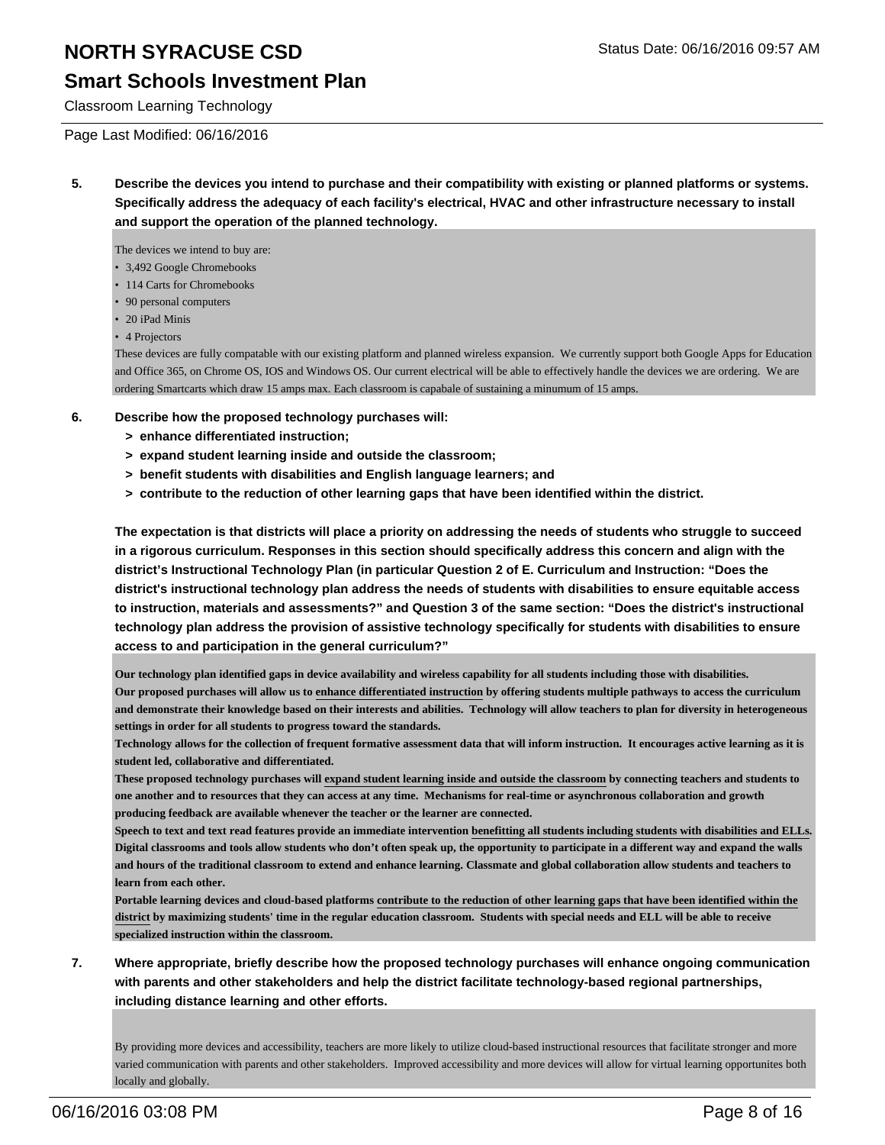### **Smart Schools Investment Plan**

Classroom Learning Technology

#### Page Last Modified: 06/16/2016

**5. Describe the devices you intend to purchase and their compatibility with existing or planned platforms or systems. Specifically address the adequacy of each facility's electrical, HVAC and other infrastructure necessary to install and support the operation of the planned technology.**

The devices we intend to buy are:

- 3,492 Google Chromebooks
- 114 Carts for Chromebooks
- 90 personal computers
- 20 iPad Minis
- 4 Projectors

These devices are fully compatable with our existing platform and planned wireless expansion. We currently support both Google Apps for Education and Office 365, on Chrome OS, IOS and Windows OS. Our current electrical will be able to effectively handle the devices we are ordering. We are ordering Smartcarts which draw 15 amps max. Each classroom is capabale of sustaining a minumum of 15 amps.

- **6. Describe how the proposed technology purchases will:**
	- **> enhance differentiated instruction;**
	- **> expand student learning inside and outside the classroom;**
	- **> benefit students with disabilities and English language learners; and**
	- **> contribute to the reduction of other learning gaps that have been identified within the district.**

**The expectation is that districts will place a priority on addressing the needs of students who struggle to succeed in a rigorous curriculum. Responses in this section should specifically address this concern and align with the district's Instructional Technology Plan (in particular Question 2 of E. Curriculum and Instruction: "Does the district's instructional technology plan address the needs of students with disabilities to ensure equitable access to instruction, materials and assessments?" and Question 3 of the same section: "Does the district's instructional technology plan address the provision of assistive technology specifically for students with disabilities to ensure access to and participation in the general curriculum?"**

**Our technology plan identified gaps in device availability and wireless capability for all students including those with disabilities. Our proposed purchases will allow us to enhance differentiated instruction by offering students multiple pathways to access the curriculum and demonstrate their knowledge based on their interests and abilities. Technology will allow teachers to plan for diversity in heterogeneous settings in order for all students to progress toward the standards.**

**Technology allows for the collection of frequent formative assessment data that will inform instruction. It encourages active learning as it is student led, collaborative and differentiated.**

**These proposed technology purchases will expand student learning inside and outside the classroom by connecting teachers and students to one another and to resources that they can access at any time. Mechanisms for real-time or asynchronous collaboration and growth producing feedback are available whenever the teacher or the learner are connected.**

**Speech to text and text read features provide an immediate intervention benefitting all students including students with disabilities and ELLs. Digital classrooms and tools allow students who don't often speak up, the opportunity to participate in a different way and expand the walls and hours of the traditional classroom to extend and enhance learning. Classmate and global collaboration allow students and teachers to learn from each other.**

**Portable learning devices and cloud-based platforms contribute to the reduction of other learning gaps that have been identified within the district by maximizing students' time in the regular education classroom. Students with special needs and ELL will be able to receive specialized instruction within the classroom.**

**7. Where appropriate, briefly describe how the proposed technology purchases will enhance ongoing communication with parents and other stakeholders and help the district facilitate technology-based regional partnerships, including distance learning and other efforts.**

By providing more devices and accessibility, teachers are more likely to utilize cloud-based instructional resources that facilitate stronger and more varied communication with parents and other stakeholders. Improved accessibility and more devices will allow for virtual learning opportunites both locally and globally.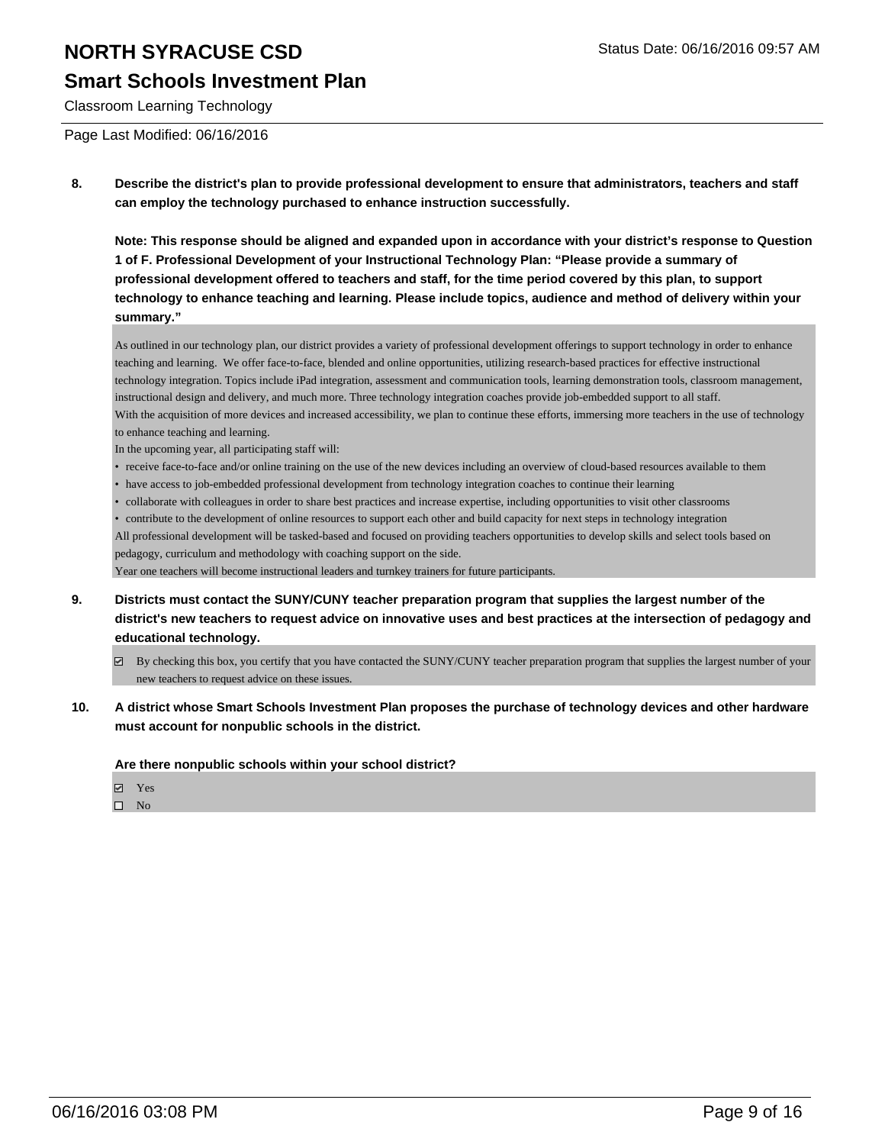### **Smart Schools Investment Plan**

Classroom Learning Technology

Page Last Modified: 06/16/2016

**8. Describe the district's plan to provide professional development to ensure that administrators, teachers and staff can employ the technology purchased to enhance instruction successfully.**

**Note: This response should be aligned and expanded upon in accordance with your district's response to Question 1 of F. Professional Development of your Instructional Technology Plan: "Please provide a summary of professional development offered to teachers and staff, for the time period covered by this plan, to support technology to enhance teaching and learning. Please include topics, audience and method of delivery within your summary."**

As outlined in our technology plan, our district provides a variety of professional development offerings to support technology in order to enhance teaching and learning. We offer face-to-face, blended and online opportunities, utilizing research-based practices for effective instructional technology integration. Topics include iPad integration, assessment and communication tools, learning demonstration tools, classroom management, instructional design and delivery, and much more. Three technology integration coaches provide job-embedded support to all staff. With the acquisition of more devices and increased accessibility, we plan to continue these efforts, immersing more teachers in the use of technology to enhance teaching and learning.

In the upcoming year, all participating staff will:

- receive face-to-face and/or online training on the use of the new devices including an overview of cloud-based resources available to them
- have access to job-embedded professional development from technology integration coaches to continue their learning
- collaborate with colleagues in order to share best practices and increase expertise, including opportunities to visit other classrooms

• contribute to the development of online resources to support each other and build capacity for next steps in technology integration All professional development will be tasked-based and focused on providing teachers opportunities to develop skills and select tools based on pedagogy, curriculum and methodology with coaching support on the side.

Year one teachers will become instructional leaders and turnkey trainers for future participants.

- **9. Districts must contact the SUNY/CUNY teacher preparation program that supplies the largest number of the district's new teachers to request advice on innovative uses and best practices at the intersection of pedagogy and educational technology.**
	- By checking this box, you certify that you have contacted the SUNY/CUNY teacher preparation program that supplies the largest number of your new teachers to request advice on these issues.
- **10. A district whose Smart Schools Investment Plan proposes the purchase of technology devices and other hardware must account for nonpublic schools in the district.**

**Are there nonpublic schools within your school district?**

- **团** Yes
- $\square$  No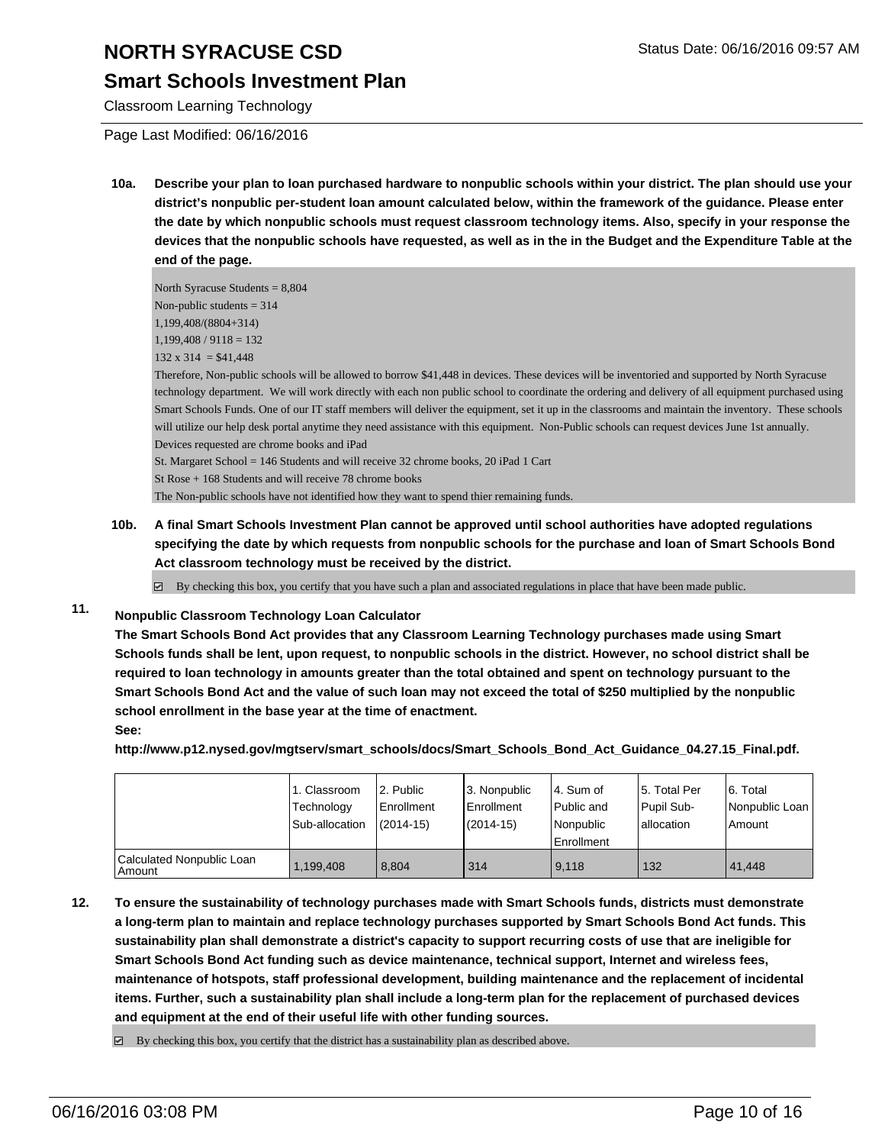### **Smart Schools Investment Plan**

Classroom Learning Technology

Page Last Modified: 06/16/2016

**10a. Describe your plan to loan purchased hardware to nonpublic schools within your district. The plan should use your district's nonpublic per-student loan amount calculated below, within the framework of the guidance. Please enter the date by which nonpublic schools must request classroom technology items. Also, specify in your response the devices that the nonpublic schools have requested, as well as in the in the Budget and the Expenditure Table at the end of the page.**

North Syracuse Students = 8,804 Non-public students  $= 314$ 1,199,408/(8804+314)  $1,199,408 / 9118 = 132$  $132 \times 314 = $41,448$ 

Therefore, Non-public schools will be allowed to borrow \$41,448 in devices. These devices will be inventoried and supported by North Syracuse technology department. We will work directly with each non public school to coordinate the ordering and delivery of all equipment purchased using Smart Schools Funds. One of our IT staff members will deliver the equipment, set it up in the classrooms and maintain the inventory. These schools will utilize our help desk portal anytime they need assistance with this equipment. Non-Public schools can request devices June 1st annually. Devices requested are chrome books and iPad

St. Margaret School = 146 Students and will receive 32 chrome books, 20 iPad 1 Cart St Rose + 168 Students and will receive 78 chrome books The Non-public schools have not identified how they want to spend thier remaining funds.

**10b. A final Smart Schools Investment Plan cannot be approved until school authorities have adopted regulations specifying the date by which requests from nonpublic schools for the purchase and loan of Smart Schools Bond Act classroom technology must be received by the district.**

 $\boxtimes$  By checking this box, you certify that you have such a plan and associated regulations in place that have been made public.

### **11. Nonpublic Classroom Technology Loan Calculator**

**The Smart Schools Bond Act provides that any Classroom Learning Technology purchases made using Smart Schools funds shall be lent, upon request, to nonpublic schools in the district. However, no school district shall be required to loan technology in amounts greater than the total obtained and spent on technology pursuant to the Smart Schools Bond Act and the value of such loan may not exceed the total of \$250 multiplied by the nonpublic school enrollment in the base year at the time of enactment. See:**

**http://www.p12.nysed.gov/mgtserv/smart\_schools/docs/Smart\_Schools\_Bond\_Act\_Guidance\_04.27.15\_Final.pdf.**

|                                       | 1. Classroom<br>Technology<br>Sub-allocation | 2. Public<br><b>Enrollment</b><br>$(2014 - 15)$ | 3. Nonpublic<br>Enrollment<br>$(2014 - 15)$ | l 4. Sum of<br>Public and<br>Nonpublic<br>Enrollment | 15. Total Per<br>Pupil Sub-<br>lallocation | 6. Total<br>Nonpublic Loan<br>Amount |
|---------------------------------------|----------------------------------------------|-------------------------------------------------|---------------------------------------------|------------------------------------------------------|--------------------------------------------|--------------------------------------|
| Calculated Nonpublic Loan<br>l Amount | 1,199,408                                    | 8.804                                           | 314                                         | 9.118                                                | 132                                        | 41.448                               |

**12. To ensure the sustainability of technology purchases made with Smart Schools funds, districts must demonstrate a long-term plan to maintain and replace technology purchases supported by Smart Schools Bond Act funds. This sustainability plan shall demonstrate a district's capacity to support recurring costs of use that are ineligible for Smart Schools Bond Act funding such as device maintenance, technical support, Internet and wireless fees, maintenance of hotspots, staff professional development, building maintenance and the replacement of incidental items. Further, such a sustainability plan shall include a long-term plan for the replacement of purchased devices and equipment at the end of their useful life with other funding sources.**

 $\boxtimes$  By checking this box, you certify that the district has a sustainability plan as described above.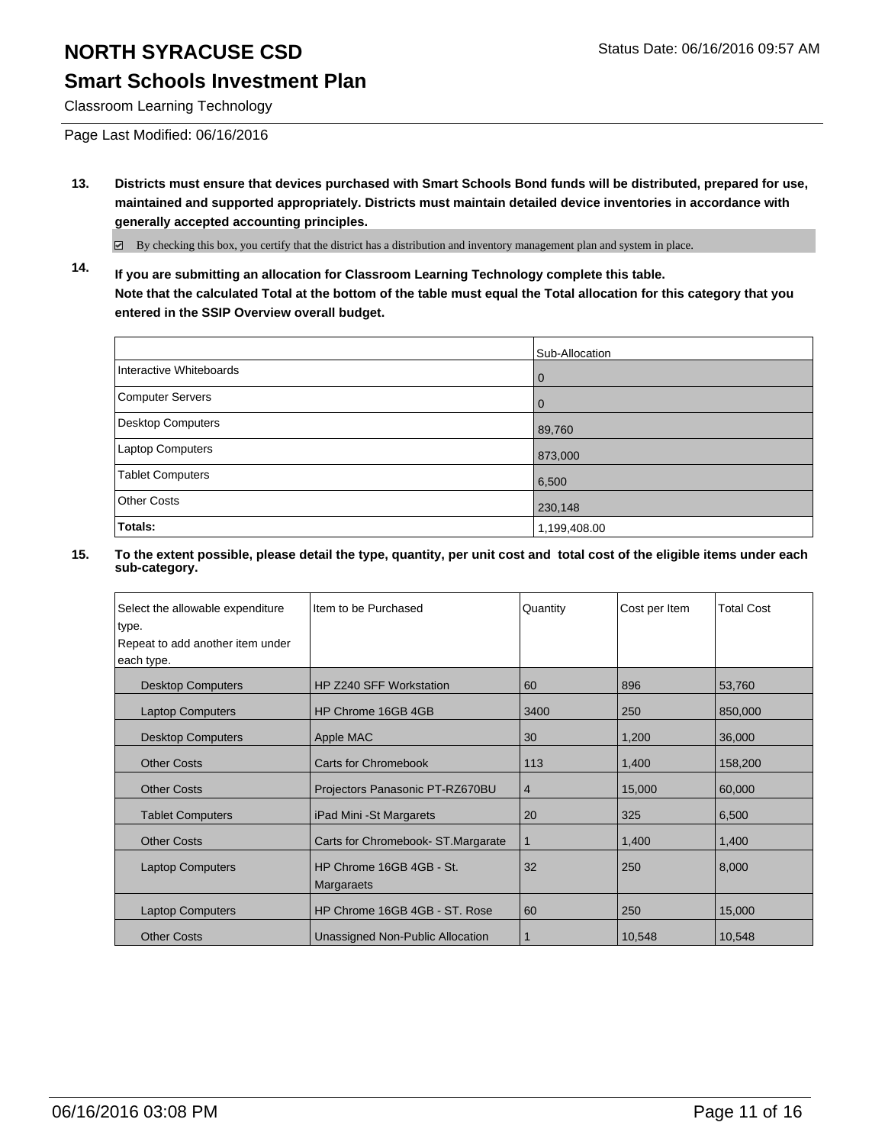### **Smart Schools Investment Plan**

Classroom Learning Technology

Page Last Modified: 06/16/2016

**13. Districts must ensure that devices purchased with Smart Schools Bond funds will be distributed, prepared for use, maintained and supported appropriately. Districts must maintain detailed device inventories in accordance with generally accepted accounting principles.**

By checking this box, you certify that the district has a distribution and inventory management plan and system in place.

**14. If you are submitting an allocation for Classroom Learning Technology complete this table. Note that the calculated Total at the bottom of the table must equal the Total allocation for this category that you entered in the SSIP Overview overall budget.**

|                          | Sub-Allocation |
|--------------------------|----------------|
| Interactive Whiteboards  | $\Omega$       |
| Computer Servers         | $\Omega$       |
| <b>Desktop Computers</b> | 89,760         |
| Laptop Computers         | 873,000        |
| <b>Tablet Computers</b>  | 6,500          |
| Other Costs              | 230,148        |
| Totals:                  | 1,199,408.00   |

| Select the allowable expenditure | Item to be Purchased                   | Quantity | Cost per Item | <b>Total Cost</b> |
|----------------------------------|----------------------------------------|----------|---------------|-------------------|
| type.                            |                                        |          |               |                   |
| Repeat to add another item under |                                        |          |               |                   |
| each type.                       |                                        |          |               |                   |
| <b>Desktop Computers</b>         | HP Z240 SFF Workstation                | 60       | 896           | 53,760            |
| <b>Laptop Computers</b>          | HP Chrome 16GB 4GB                     | 3400     | 250           | 850,000           |
| <b>Desktop Computers</b>         | Apple MAC                              | 30       | 1,200         | 36,000            |
| <b>Other Costs</b>               | <b>Carts for Chromebook</b>            | 113      | 1,400         | 158,200           |
| <b>Other Costs</b>               | Projectors Panasonic PT-RZ670BU        | 4        | 15,000        | 60,000            |
| <b>Tablet Computers</b>          | iPad Mini - St Margarets               | 20       | 325           | 6,500             |
| <b>Other Costs</b>               | Carts for Chromebook-ST.Margarate      | 1        | 1,400         | 1,400             |
| <b>Laptop Computers</b>          | HP Chrome 16GB 4GB - St.<br>Margaraets | 32       | 250           | 8,000             |
| <b>Laptop Computers</b>          | HP Chrome 16GB 4GB - ST. Rose          | 60       | 250           | 15,000            |
| <b>Other Costs</b>               | Unassigned Non-Public Allocation       |          | 10,548        | 10,548            |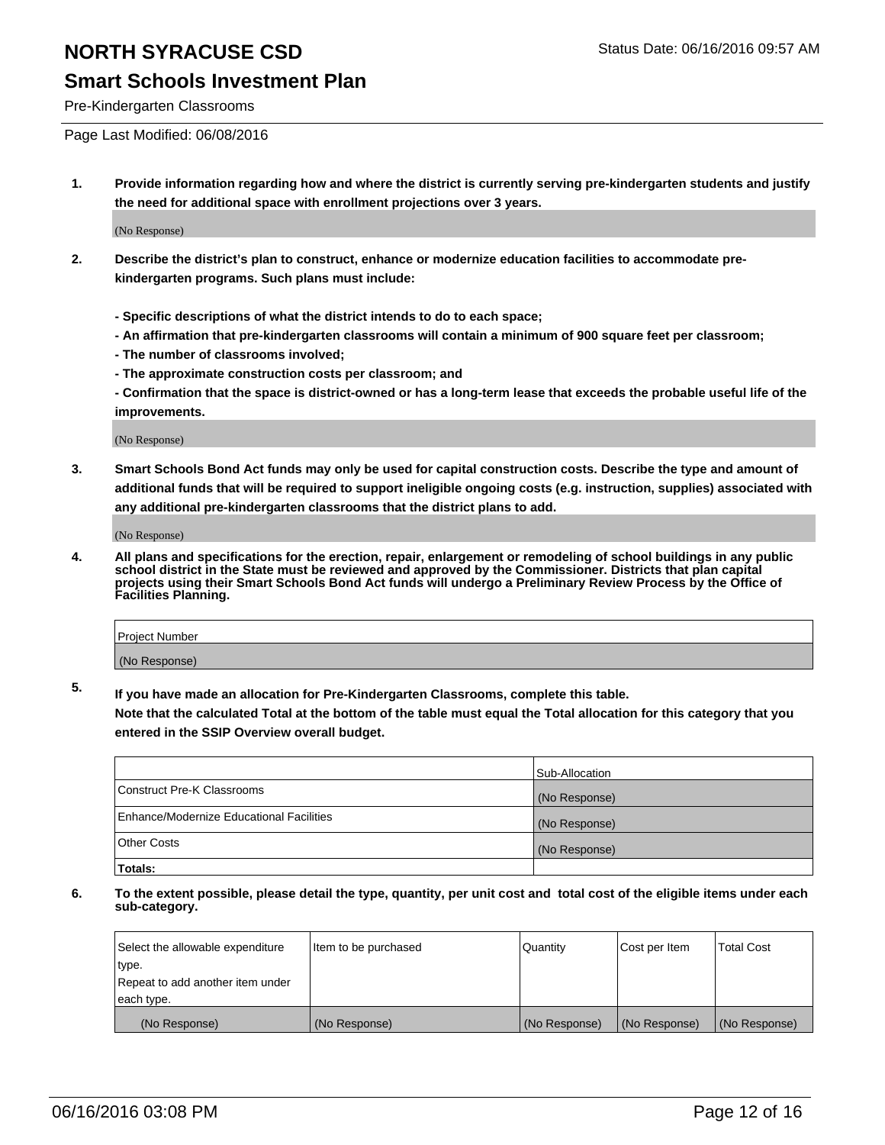### **Smart Schools Investment Plan**

Pre-Kindergarten Classrooms

Page Last Modified: 06/08/2016

**1. Provide information regarding how and where the district is currently serving pre-kindergarten students and justify the need for additional space with enrollment projections over 3 years.**

(No Response)

- **2. Describe the district's plan to construct, enhance or modernize education facilities to accommodate prekindergarten programs. Such plans must include:**
	- **Specific descriptions of what the district intends to do to each space;**
	- **An affirmation that pre-kindergarten classrooms will contain a minimum of 900 square feet per classroom;**
	- **The number of classrooms involved;**
	- **The approximate construction costs per classroom; and**
	- **Confirmation that the space is district-owned or has a long-term lease that exceeds the probable useful life of the improvements.**

(No Response)

**3. Smart Schools Bond Act funds may only be used for capital construction costs. Describe the type and amount of additional funds that will be required to support ineligible ongoing costs (e.g. instruction, supplies) associated with any additional pre-kindergarten classrooms that the district plans to add.**

(No Response)

**4. All plans and specifications for the erection, repair, enlargement or remodeling of school buildings in any public school district in the State must be reviewed and approved by the Commissioner. Districts that plan capital projects using their Smart Schools Bond Act funds will undergo a Preliminary Review Process by the Office of Facilities Planning.**

| Project Number |  |
|----------------|--|
| (No Response)  |  |

**5. If you have made an allocation for Pre-Kindergarten Classrooms, complete this table.**

**Note that the calculated Total at the bottom of the table must equal the Total allocation for this category that you entered in the SSIP Overview overall budget.**

|                                          | Sub-Allocation |
|------------------------------------------|----------------|
| Construct Pre-K Classrooms               | (No Response)  |
| Enhance/Modernize Educational Facilities | (No Response)  |
| Other Costs                              | (No Response)  |
| Totals:                                  |                |

| Select the allowable expenditure | Item to be purchased | Quantity      | Cost per Item | <b>Total Cost</b> |
|----------------------------------|----------------------|---------------|---------------|-------------------|
| type.                            |                      |               |               |                   |
| Repeat to add another item under |                      |               |               |                   |
| each type.                       |                      |               |               |                   |
| (No Response)                    | (No Response)        | (No Response) | (No Response) | (No Response)     |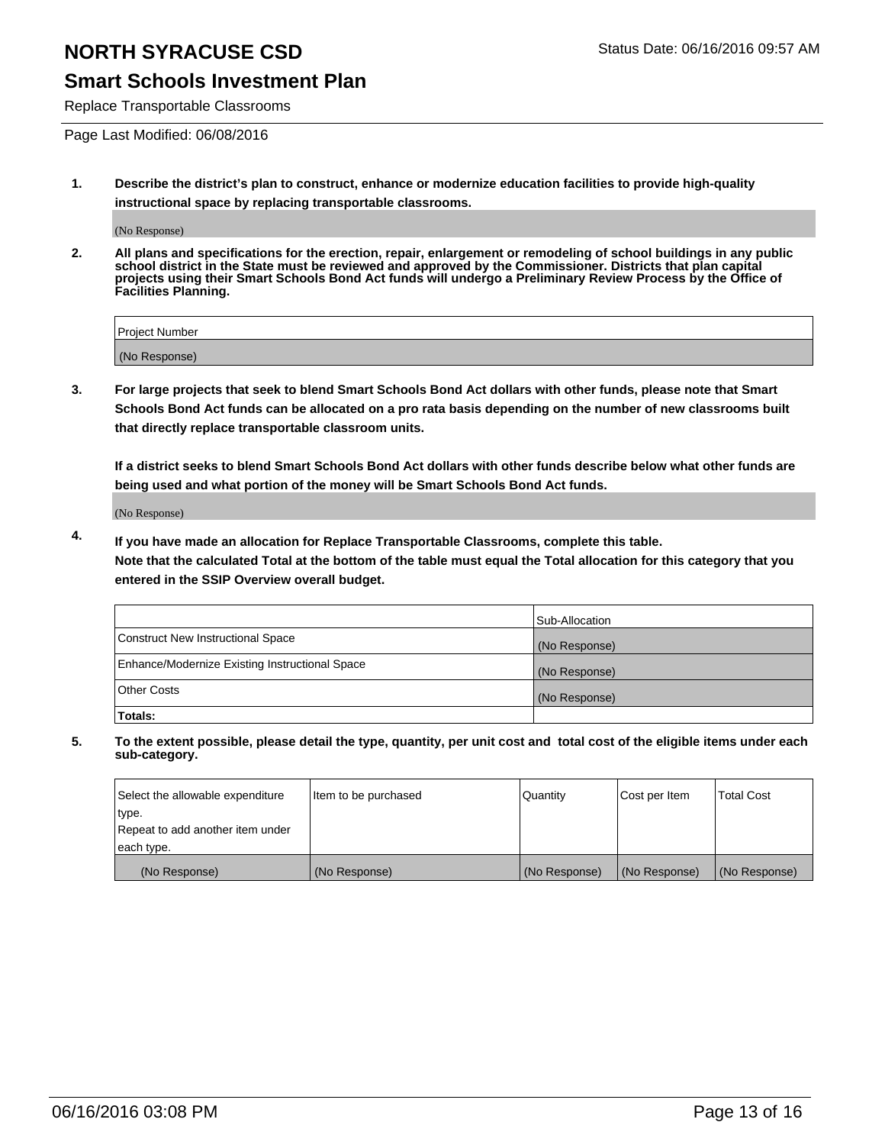### **Smart Schools Investment Plan**

Replace Transportable Classrooms

Page Last Modified: 06/08/2016

**1. Describe the district's plan to construct, enhance or modernize education facilities to provide high-quality instructional space by replacing transportable classrooms.**

(No Response)

**2. All plans and specifications for the erection, repair, enlargement or remodeling of school buildings in any public school district in the State must be reviewed and approved by the Commissioner. Districts that plan capital projects using their Smart Schools Bond Act funds will undergo a Preliminary Review Process by the Office of Facilities Planning.**

| <b>Project Number</b> |  |
|-----------------------|--|
| (No Response)         |  |

**3. For large projects that seek to blend Smart Schools Bond Act dollars with other funds, please note that Smart Schools Bond Act funds can be allocated on a pro rata basis depending on the number of new classrooms built that directly replace transportable classroom units.**

**If a district seeks to blend Smart Schools Bond Act dollars with other funds describe below what other funds are being used and what portion of the money will be Smart Schools Bond Act funds.**

(No Response)

**4. If you have made an allocation for Replace Transportable Classrooms, complete this table. Note that the calculated Total at the bottom of the table must equal the Total allocation for this category that you entered in the SSIP Overview overall budget.**

|                                                | Sub-Allocation |
|------------------------------------------------|----------------|
| Construct New Instructional Space              | (No Response)  |
| Enhance/Modernize Existing Instructional Space | (No Response)  |
| <b>Other Costs</b>                             | (No Response)  |
| Totals:                                        |                |

| Select the allowable expenditure | Item to be purchased | <b>Quantity</b> | Cost per Item | <b>Total Cost</b> |
|----------------------------------|----------------------|-----------------|---------------|-------------------|
| type.                            |                      |                 |               |                   |
| Repeat to add another item under |                      |                 |               |                   |
| each type.                       |                      |                 |               |                   |
| (No Response)                    | (No Response)        | (No Response)   | (No Response) | (No Response)     |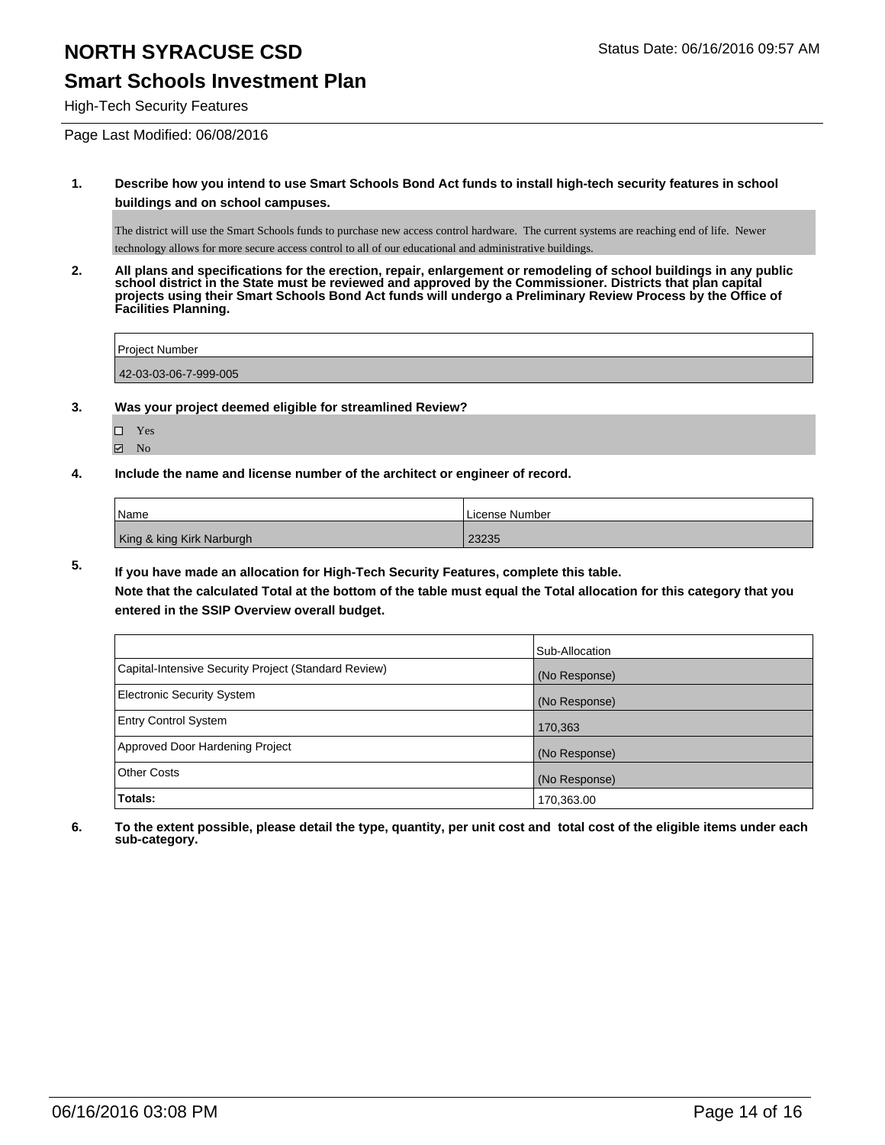### **Smart Schools Investment Plan**

High-Tech Security Features

Page Last Modified: 06/08/2016

**1. Describe how you intend to use Smart Schools Bond Act funds to install high-tech security features in school buildings and on school campuses.**

The district will use the Smart Schools funds to purchase new access control hardware. The current systems are reaching end of life. Newer technology allows for more secure access control to all of our educational and administrative buildings.

**2. All plans and specifications for the erection, repair, enlargement or remodeling of school buildings in any public school district in the State must be reviewed and approved by the Commissioner. Districts that plan capital projects using their Smart Schools Bond Act funds will undergo a Preliminary Review Process by the Office of Facilities Planning.** 

| Project Number        |  |
|-----------------------|--|
| 42-03-03-06-7-999-005 |  |

- **3. Was your project deemed eligible for streamlined Review?**
	- □ Yes
	- **Ø** No
- **4. Include the name and license number of the architect or engineer of record.**

| l Name                    | License Number |
|---------------------------|----------------|
| King & king Kirk Narburgh | 23235          |

**5. If you have made an allocation for High-Tech Security Features, complete this table.**

**Note that the calculated Total at the bottom of the table must equal the Total allocation for this category that you entered in the SSIP Overview overall budget.**

|                                                      | Sub-Allocation |
|------------------------------------------------------|----------------|
| Capital-Intensive Security Project (Standard Review) | (No Response)  |
| <b>Electronic Security System</b>                    | (No Response)  |
| <b>Entry Control System</b>                          | 170,363        |
| Approved Door Hardening Project                      | (No Response)  |
| <b>Other Costs</b>                                   | (No Response)  |
| Totals:                                              | 170,363.00     |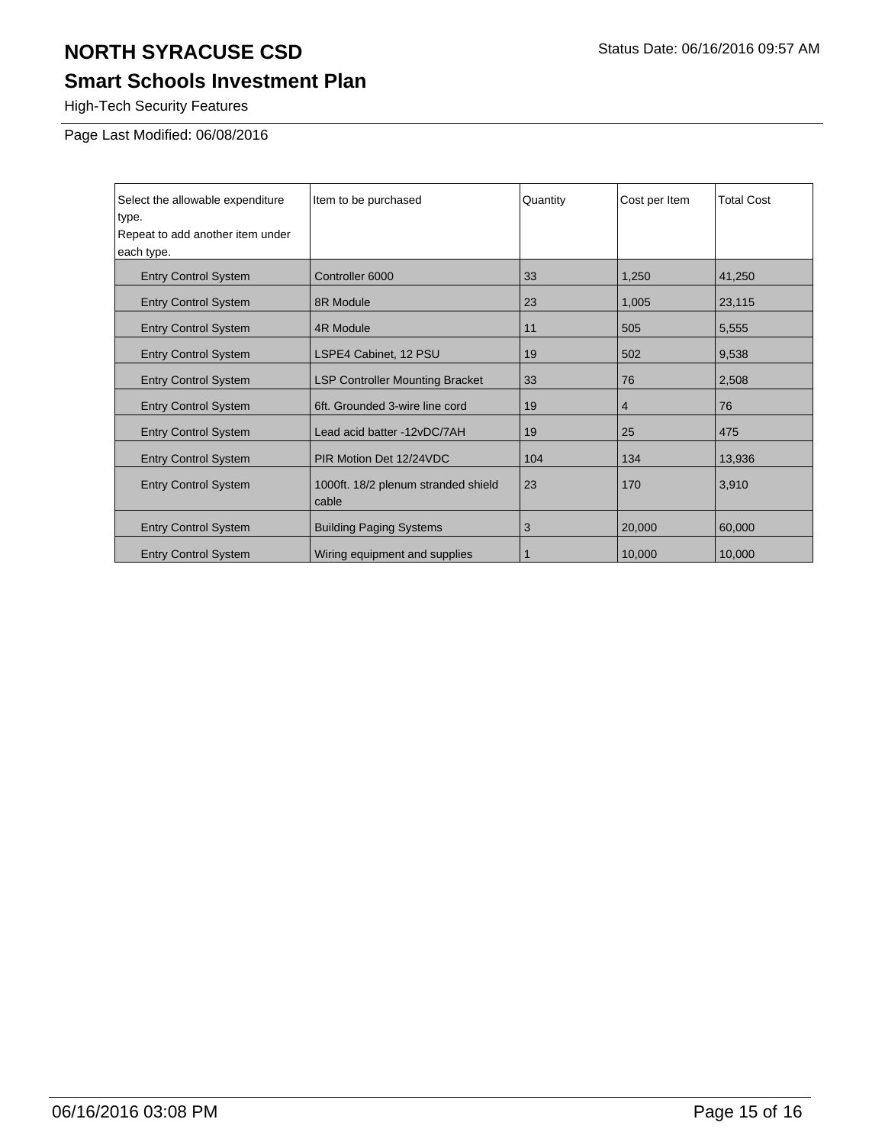## **Smart Schools Investment Plan**

High-Tech Security Features

Page Last Modified: 06/08/2016

| Select the allowable expenditure | Item to be purchased                         | Quantity | Cost per Item | <b>Total Cost</b> |
|----------------------------------|----------------------------------------------|----------|---------------|-------------------|
| type.                            |                                              |          |               |                   |
| Repeat to add another item under |                                              |          |               |                   |
| each type.                       |                                              |          |               |                   |
| <b>Entry Control System</b>      | Controller 6000                              | 33       | 1,250         | 41,250            |
| <b>Entry Control System</b>      | 8R Module                                    | 23       | 1,005         | 23,115            |
| <b>Entry Control System</b>      | 4R Module                                    | 11       | 505           | 5,555             |
| <b>Entry Control System</b>      | LSPE4 Cabinet, 12 PSU                        | 19       | 502           | 9,538             |
| <b>Entry Control System</b>      | <b>LSP Controller Mounting Bracket</b>       | 33       | 76            | 2,508             |
| <b>Entry Control System</b>      | 6ft. Grounded 3-wire line cord               | 19       | 4             | 76                |
| <b>Entry Control System</b>      | Lead acid batter -12vDC/7AH                  | 19       | 25            | 475               |
| <b>Entry Control System</b>      | PIR Motion Det 12/24VDC                      | 104      | 134           | 13,936            |
| <b>Entry Control System</b>      | 1000ft. 18/2 plenum stranded shield<br>cable | 23       | 170           | 3,910             |
| <b>Entry Control System</b>      | <b>Building Paging Systems</b>               | 3        | 20,000        | 60,000            |
| <b>Entry Control System</b>      | Wiring equipment and supplies                |          | 10,000        | 10,000            |